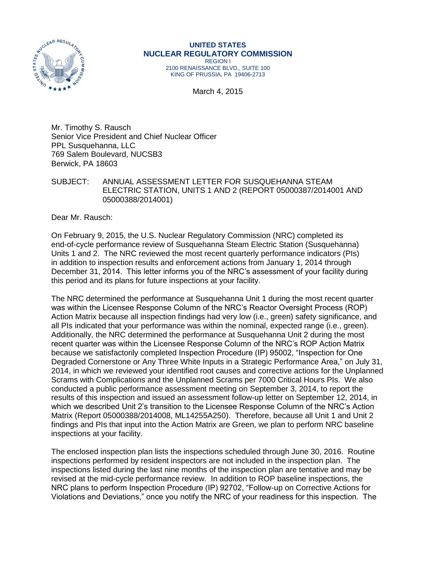

#### **UNITED STATES NUCLEAR REGULATORY COMMISSION** REGION I

2100 RENAISSANCE BLVD., SUITE 100 KING OF PRUSSIA, PA 19406-2713

March 4, 2015

Mr. Timothy S. Rausch Senior Vice President and Chief Nuclear Officer PPL Susquehanna, LLC 769 Salem Boulevard, NUCSB3 Berwick, PA 18603

SUBJECT: ANNUAL ASSESSMENT LETTER FOR SUSQUEHANNA STEAM ELECTRIC STATION, UNITS 1 AND 2 (REPORT 05000387/2014001 AND 05000388/2014001)

Dear Mr. Rausch:

On February 9, 2015, the U.S. Nuclear Regulatory Commission (NRC) completed its end-of-cycle performance review of Susquehanna Steam Electric Station (Susquehanna) Units 1 and 2. The NRC reviewed the most recent quarterly performance indicators (PIs) in addition to inspection results and enforcement actions from January 1, 2014 through December 31, 2014. This letter informs you of the NRC's assessment of your facility during this period and its plans for future inspections at your facility.

The NRC determined the performance at Susquehanna Unit 1 during the most recent quarter was within the Licensee Response Column of the NRC's Reactor Oversight Process (ROP) Action Matrix because all inspection findings had very low (i.e., green) safety significance, and all PIs indicated that your performance was within the nominal, expected range (i.e., green). Additionally, the NRC determined the performance at Susquehanna Unit 2 during the most recent quarter was within the Licensee Response Column of the NRC's ROP Action Matrix because we satisfactorily completed Inspection Procedure (IP) 95002, "Inspection for One Degraded Cornerstone or Any Three White Inputs in a Strategic Performance Area," on July 31, 2014, in which we reviewed your identified root causes and corrective actions for the Unplanned Scrams with Complications and the Unplanned Scrams per 7000 Critical Hours PIs. We also conducted a public performance assessment meeting on September 3, 2014, to report the results of this inspection and issued an assessment follow-up letter on September 12, 2014, in which we described Unit 2's transition to the Licensee Response Column of the NRC's Action Matrix (Report 05000388/2014008, ML14255A250). Therefore, because all Unit 1 and Unit 2 findings and PIs that input into the Action Matrix are Green, we plan to perform NRC baseline inspections at your facility.

The enclosed inspection plan lists the inspections scheduled through June 30, 2016. Routine inspections performed by resident inspectors are not included in the inspection plan. The inspections listed during the last nine months of the inspection plan are tentative and may be revised at the mid-cycle performance review. In addition to ROP baseline inspections, the NRC plans to perform Inspection Procedure (IP) 92702, "Follow-up on Corrective Actions for Violations and Deviations," once you notify the NRC of your readiness for this inspection. The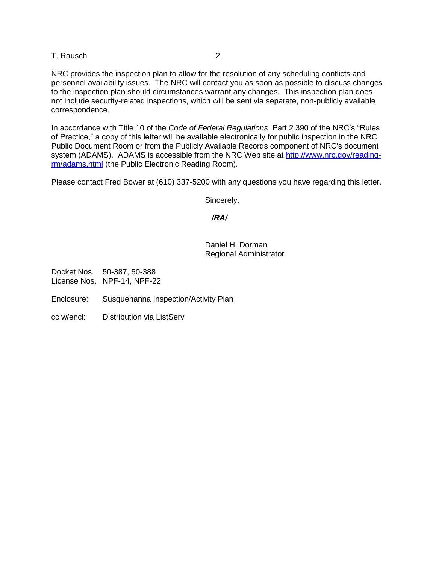#### T. Rausch 2

NRC provides the inspection plan to allow for the resolution of any scheduling conflicts and personnel availability issues. The NRC will contact you as soon as possible to discuss changes to the inspection plan should circumstances warrant any changes. This inspection plan does not include security-related inspections, which will be sent via separate, non-publicly available correspondence.

In accordance with Title 10 of the *Code of Federal Regulations*, Part 2.390 of the NRC's "Rules of Practice," a copy of this letter will be available electronically for public inspection in the NRC Public Document Room or from the Publicly Available Records component of NRC's document system (ADAMS). ADAMS is accessible from the NRC Web site at [http://www.nrc.gov/reading](http://www.nrc.gov/reading-rm/adams.html)[rm/adams.html](http://www.nrc.gov/reading-rm/adams.html) (the Public Electronic Reading Room).

Please contact Fred Bower at (610) 337-5200 with any questions you have regarding this letter.

Sincerely,

#### */RA/*

#### Daniel H. Dorman Regional Administrator

Docket Nos. 50-387, 50-388 License Nos. NPF-14, NPF-22

- Enclosure: Susquehanna Inspection/Activity Plan
- cc w/encl: Distribution via ListServ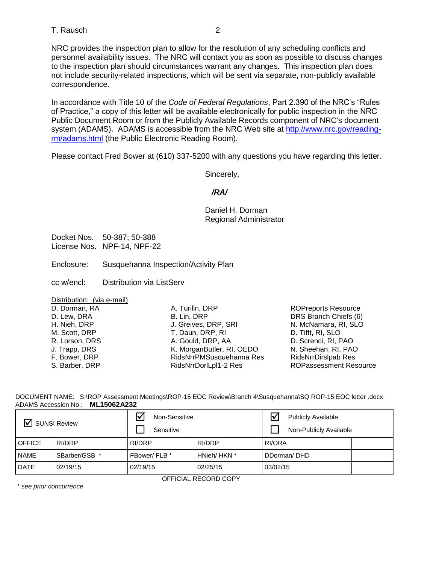### T. Rausch 2

NRC provides the inspection plan to allow for the resolution of any scheduling conflicts and personnel availability issues. The NRC will contact you as soon as possible to discuss changes to the inspection plan should circumstances warrant any changes. This inspection plan does not include security-related inspections, which will be sent via separate, non-publicly available correspondence.

In accordance with Title 10 of the *Code of Federal Regulations*, Part 2.390 of the NRC's "Rules of Practice," a copy of this letter will be available electronically for public inspection in the NRC Public Document Room or from the Publicly Available Records component of NRC's document system (ADAMS). ADAMS is accessible from the NRC Web site at [http://www.nrc.gov/reading](http://www.nrc.gov/reading-rm/adams.html)[rm/adams.html](http://www.nrc.gov/reading-rm/adams.html) (the Public Electronic Reading Room).

Please contact Fred Bower at (610) 337-5200 with any questions you have regarding this letter.

Sincerely,

### */RA/*

Daniel H. Dorman Regional Administrator

Docket Nos. 50-387; 50-388 License Nos. NPF-14, NPF-22

Enclosure: Susquehanna Inspection/Activity Plan

cc w/encl: Distribution via ListServ

Distribution: (via e-mail)

D. Dorman, RA D. Lew, DRA H. Nieh, DRP M. Scott, DRP R. Lorson, DRS J. Trapp, DRS F. Bower, DRP S. Barber, DRP

A. Turilin, DRP B. Lin, DRP J. Greives, DRP, SRI T. Daun, DRP, RI A. Gould, DRP, AA K. MorganButler, RI, OEDO RidsNrrPMSusquehanna Res RidsNrrDorlLpl1-2 Res

ROPreports Resource DRS Branch Chiefs (6) N. McNamara, RI, SLO D. Tifft, RI, SLO D. Screnci, RI, PAO N. Sheehan, RI, PAO [RidsNrrDirslpab Res](mailto:RidsNrrDirslpab@nrc.gov)  ROPassessment Resource

DOCUMENT NAME: S:\ROP Assessment Meetings\ROP-15 EOC Review\Branch 4\Susquehanna\SQ ROP-15 EOC letter .docx ADAMS Accession No.: **ML15062A232** 

| $\nabla$ SUNSI Review |               | $\triangledown$<br>Non-Sensitive<br>Sensitive |             | <b>Publicly Available</b><br>Non-Publicly Available |  |  |
|-----------------------|---------------|-----------------------------------------------|-------------|-----------------------------------------------------|--|--|
| <b>OFFICE</b>         | RI/DRP        | RI/DRP                                        | RI/DRP      | RI/ORA                                              |  |  |
| <b>NAME</b>           | SBarber/GSB * | FBower/FLB *                                  | HNieh/HKN * | DDorman/DHD                                         |  |  |
| <b>DATE</b>           | 02/19/15      | 02/19/15                                      | 02/25/15    | 03/02/15                                            |  |  |
| OFFICIAL RECORD COPY  |               |                                               |             |                                                     |  |  |

*\* see prior concurrence*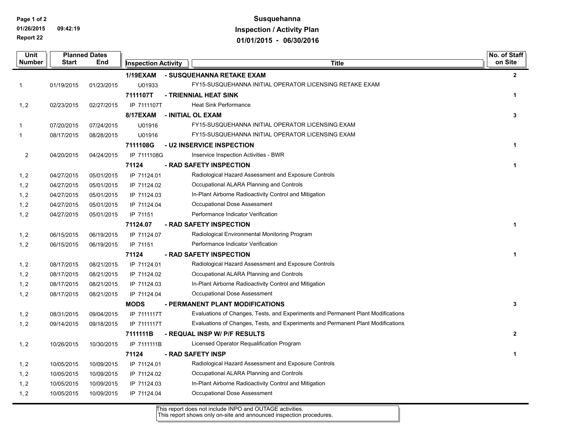**Page 1 of 2**

**01/26/2015 09:42:19 Report 22**

# **Susquehanna Inspection / Activity Plan 01/01/2015 - 06/30/2016**

| Unit           | <b>Planned Dates</b> |            |                            |  |                                                                                  |              |
|----------------|----------------------|------------|----------------------------|--|----------------------------------------------------------------------------------|--------------|
| Number         | <b>Start</b>         | End        | <b>Inspection Activity</b> |  | <b>Title</b>                                                                     | on Site      |
|                |                      |            | <b>1/19EXAM</b>            |  | - SUSQUEHANNA RETAKE EXAM                                                        | $\mathbf{2}$ |
| 1              | 01/19/2015           | 01/23/2015 | U01933                     |  | FY15-SUSQUEHANNA INITIAL OPERATOR LICENSING RETAKE EXAM                          |              |
|                |                      |            | 7111107T                   |  | - TRIENNIAL HEAT SINK                                                            | 1            |
| 1, 2           | 02/23/2015           | 02/27/2015 | IP 7111107T                |  | <b>Heat Sink Performance</b>                                                     |              |
|                |                      |            | <b>8/17EXAM</b>            |  | - INITIAL OL EXAM                                                                | 3            |
| -1             | 07/20/2015           | 07/24/2015 | U01916                     |  | FY15-SUSQUEHANNA INITIAL OPERATOR LICENSING EXAM                                 |              |
| 1              | 08/17/2015           | 08/28/2015 | U01916                     |  | FY15-SUSQUEHANNA INITIAL OPERATOR LICENSING EXAM                                 |              |
|                |                      |            | 7111108G                   |  | <b>- U2 INSERVICE INSPECTION</b>                                                 | $\mathbf{1}$ |
| $\overline{c}$ | 04/20/2015           | 04/24/2015 | IP 7111108G                |  | Inservice Inspection Activities - BWR                                            |              |
|                |                      |            | 71124                      |  | - RAD SAFETY INSPECTION                                                          | $\mathbf{1}$ |
| 1, 2           | 04/27/2015           | 05/01/2015 | IP 71124.01                |  | Radiological Hazard Assessment and Exposure Controls                             |              |
| 1, 2           | 04/27/2015           | 05/01/2015 | IP 71124.02                |  | Occupational ALARA Planning and Controls                                         |              |
| 1, 2           | 04/27/2015           | 05/01/2015 | IP 71124.03                |  | In-Plant Airborne Radioactivity Control and Mitigation                           |              |
| 1, 2           | 04/27/2015           | 05/01/2015 | IP 71124.04                |  | Occupational Dose Assessment                                                     |              |
| 1, 2           | 04/27/2015           | 05/01/2015 | IP 71151                   |  | Performance Indicator Verification                                               |              |
|                |                      |            | 71124.07                   |  | - RAD SAFETY INSPECTION                                                          | $\mathbf{1}$ |
| 1, 2           | 06/15/2015           | 06/19/2015 | IP 71124.07                |  | Radiological Environmental Monitoring Program                                    |              |
| 1, 2           | 06/15/2015           | 06/19/2015 | IP 71151                   |  | Performance Indicator Verification                                               |              |
|                |                      |            | 71124                      |  | - RAD SAFETY INSPECTION                                                          | $\mathbf{1}$ |
| 1, 2           | 08/17/2015           | 08/21/2015 | IP 71124.01                |  | Radiological Hazard Assessment and Exposure Controls                             |              |
| 1, 2           | 08/17/2015           | 08/21/2015 | IP 71124.02                |  | Occupational ALARA Planning and Controls                                         |              |
| 1, 2           | 08/17/2015           | 08/21/2015 | IP 71124.03                |  | In-Plant Airborne Radioactivity Control and Mitigation                           |              |
| 1, 2           | 08/17/2015           | 08/21/2015 | IP 71124.04                |  | Occupational Dose Assessment                                                     |              |
|                |                      |            | <b>MODS</b>                |  | - PERMANENT PLANT MODIFICATIONS                                                  | 3            |
| 1, 2           | 08/31/2015           | 09/04/2015 | IP 7111117T                |  | Evaluations of Changes, Tests, and Experiments and Permanent Plant Modifications |              |
| 1, 2           | 09/14/2015           | 09/18/2015 | IP 7111117T                |  | Evaluations of Changes, Tests, and Experiments and Permanent Plant Modifications |              |
|                |                      |            | 7111111B                   |  | - REQUAL INSP W/ P/F RESULTS                                                     | $\mathbf{2}$ |
| 1, 2           | 10/26/2015           | 10/30/2015 | IP 7111111B                |  | Licensed Operator Requalification Program                                        |              |
|                |                      |            | 71124                      |  | - RAD SAFETY INSP                                                                | $\mathbf{1}$ |
| 1, 2           | 10/05/2015           | 10/09/2015 | IP 71124.01                |  | Radiological Hazard Assessment and Exposure Controls                             |              |
| 1, 2           | 10/05/2015           | 10/09/2015 | IP 71124.02                |  | Occupational ALARA Planning and Controls                                         |              |
| 1, 2           | 10/05/2015           | 10/09/2015 | IP 71124.03                |  | In-Plant Airborne Radioactivity Control and Mitigation                           |              |
| 1, 2           | 10/05/2015           | 10/09/2015 | IP 71124.04                |  | Occupational Dose Assessment                                                     |              |
|                |                      |            |                            |  |                                                                                  |              |

This report does not include INPO and OUTAGE activities.

This report shows only on-site and announced inspection procedures.